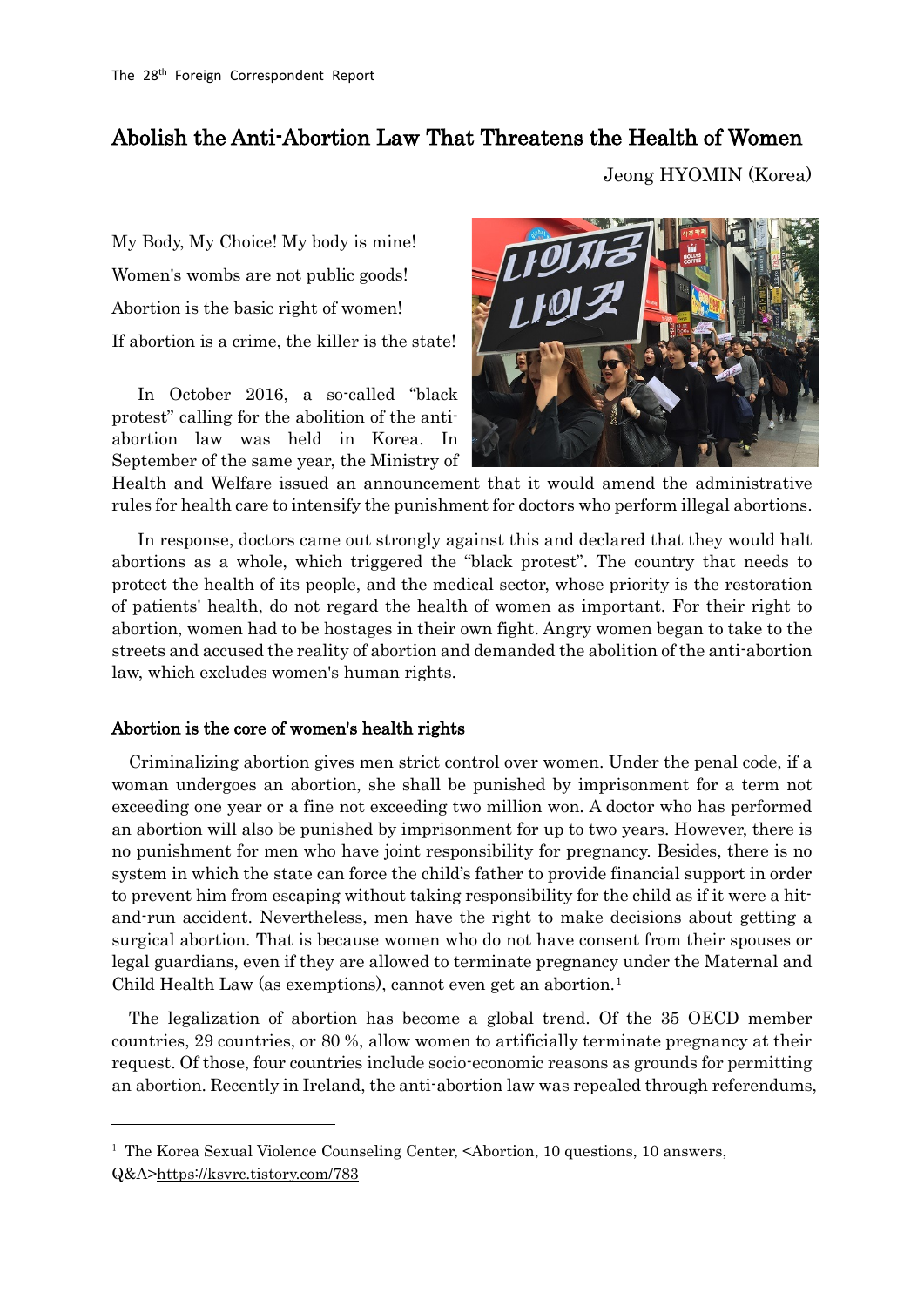## Abolish the Anti-Abortion Law That Threatens the Health of Women

Jeong HYOMIN (Korea)

My Body, My Choice! My body is mine! Women's wombs are not public goods! Abortion is the basic right of women! If abortion is a crime, the killer is the state!

In October 2016, a so-called "black protest" calling for the abolition of the antiabortion law was held in Korea. In September of the same year, the Ministry of



Health and Welfare issued an announcement that it would amend the administrative rules for health care to intensify the punishment for doctors who perform illegal abortions.

In response, doctors came out strongly against this and declared that they would halt abortions as a whole, which triggered the "black protest". The country that needs to protect the health of its people, and the medical sector, whose priority is the restoration of patients' health, do not regard the health of women as important. For their right to abortion, women had to be hostages in their own fight. Angry women began to take to the streets and accused the reality of abortion and demanded the abolition of the anti-abortion law, which excludes women's human rights.

## Abortion is the core of women's health rights

-

Criminalizing abortion gives men strict control over women. Under the penal code, if a woman undergoes an abortion, she shall be punished by imprisonment for a term not exceeding one year or a fine not exceeding two million won. A doctor who has performed an abortion will also be punished by imprisonment for up to two years. However, there is no punishment for men who have joint responsibility for pregnancy. Besides, there is no system in which the state can force the child's father to provide financial support in order to prevent him from escaping without taking responsibility for the child as if it were a hitand-run accident. Nevertheless, men have the right to make decisions about getting a surgical abortion. That is because women who do not have consent from their spouses or legal guardians, even if they are allowed to terminate pregnancy under the Maternal and Child Health Law (as exemptions), cannot even get an abortion.<sup>[1](#page-0-0)</sup>

The legalization of abortion has become a global trend. Of the 35 OECD member countries, 29 countries, or 80 %, allow women to artificially terminate pregnancy at their request. Of those, four countries include socio-economic reasons as grounds for permitting an abortion. Recently in Ireland, the anti-abortion law was repealed through referendums,

<span id="page-0-0"></span><sup>&</sup>lt;sup>1</sup> The Korea Sexual Violence Counseling Center, <Abortion, 10 questions, 10 answers, Q&A[>https://ksvrc.tistory.com/783](https://ksvrc.tistory.com/783)